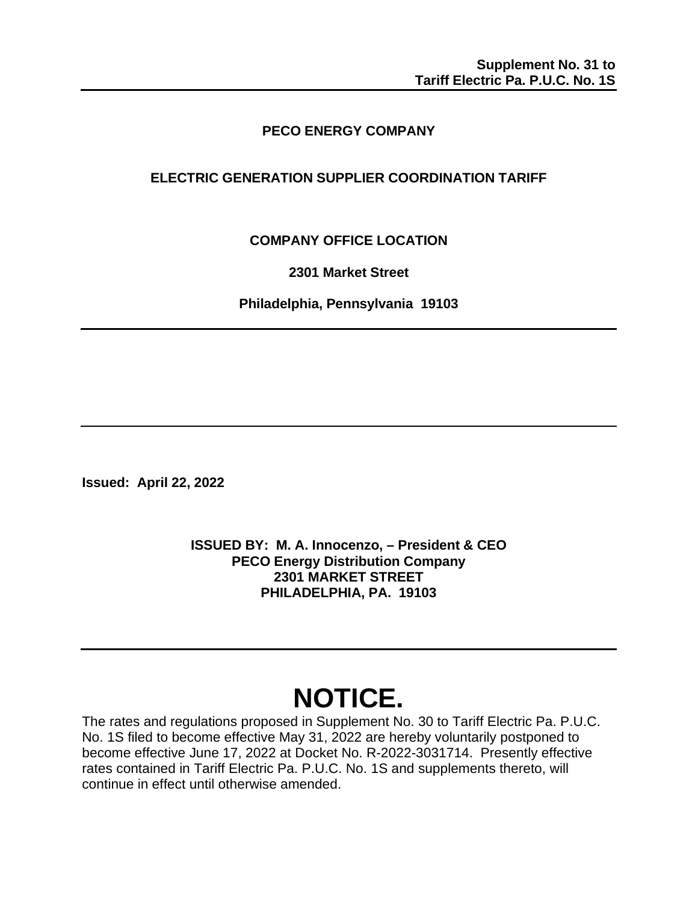# **PECO ENERGY COMPANY**

# **ELECTRIC GENERATION SUPPLIER COORDINATION TARIFF**

**COMPANY OFFICE LOCATION**

**2301 Market Street**

**Philadelphia, Pennsylvania 19103**

**Issued: April 22, 2022** 

**ISSUED BY: M. A. Innocenzo, – President & CEO PECO Energy Distribution Company 2301 MARKET STREET PHILADELPHIA, PA. 19103**

# **NOTICE.**

The rates and regulations proposed in Supplement No. 30 to Tariff Electric Pa. P.U.C. No. 1S filed to become effective May 31, 2022 are hereby voluntarily postponed to become effective June 17, 2022 at Docket No. R-2022-3031714. Presently effective rates contained in Tariff Electric Pa. P.U.C. No. 1S and supplements thereto, will continue in effect until otherwise amended.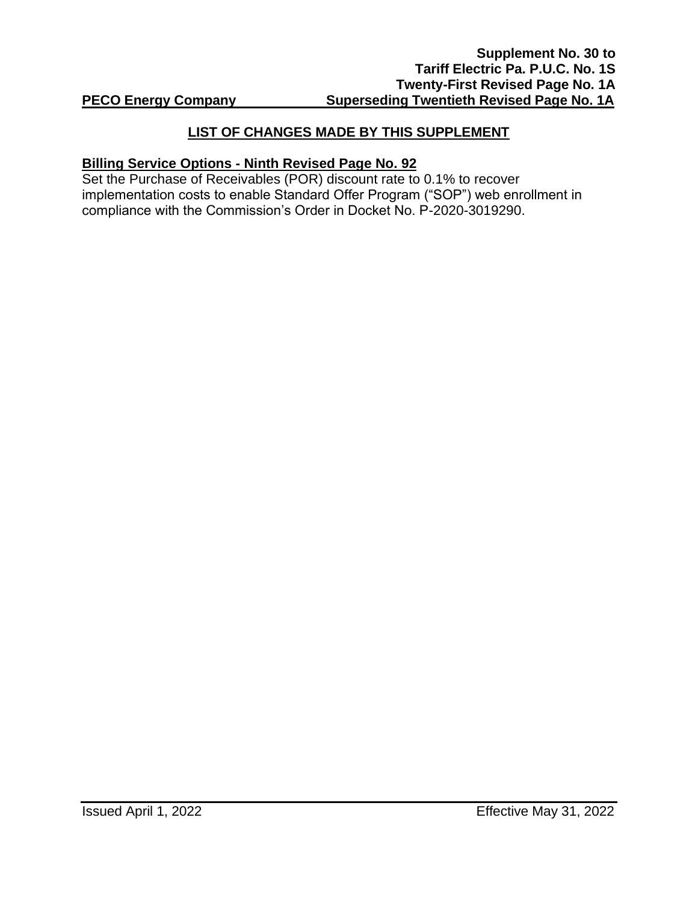### **LIST OF CHANGES MADE BY THIS SUPPLEMENT**

#### **Billing Service Options - Ninth Revised Page No. 92**

Set the Purchase of Receivables (POR) discount rate to 0.1% to recover implementation costs to enable Standard Offer Program ("SOP") web enrollment in compliance with the Commission's Order in Docket No. P-2020-3019290.